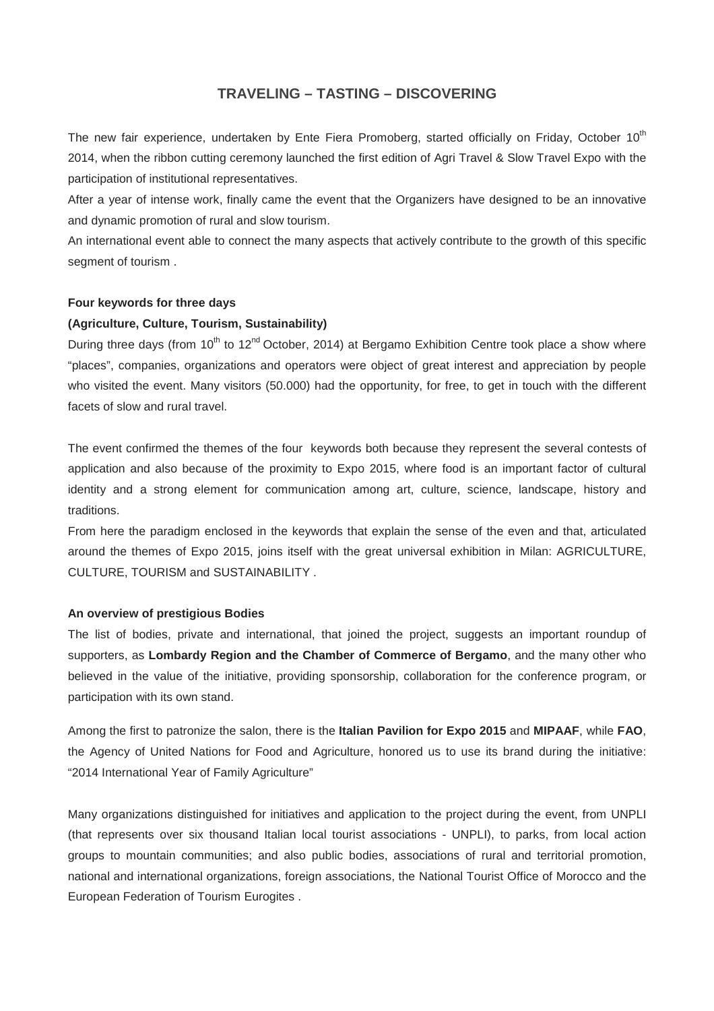# **TRAVELING – TASTING – DISCOVERING**

The new fair experience, undertaken by Ente Fiera Promoberg, started officially on Friday, October 10<sup>th</sup> 2014, when the ribbon cutting ceremony launched the first edition of Agri Travel & Slow Travel Expo with the participation of institutional representatives.

After a year of intense work, finally came the event that the Organizers have designed to be an innovative and dynamic promotion of rural and slow tourism.

An international event able to connect the many aspects that actively contribute to the growth of this specific segment of tourism .

# **Four keywords for three days**

# **(Agriculture, Culture, Tourism, Sustainability)**

During three days (from 10<sup>th</sup> to 12<sup>nd</sup> October, 2014) at Bergamo Exhibition Centre took place a show where "places", companies, organizations and operators were object of great interest and appreciation by people who visited the event. Many visitors (50.000) had the opportunity, for free, to get in touch with the different facets of slow and rural travel.

The event confirmed the themes of the four keywords both because they represent the several contests of application and also because of the proximity to Expo 2015, where food is an important factor of cultural identity and a strong element for communication among art, culture, science, landscape, history and traditions.

From here the paradigm enclosed in the keywords that explain the sense of the even and that, articulated around the themes of Expo 2015, joins itself with the great universal exhibition in Milan: AGRICULTURE, CULTURE, TOURISM and SUSTAINABILITY .

#### **An overview of prestigious Bodies**

The list of bodies, private and international, that joined the project, suggests an important roundup of supporters, as **Lombardy Region and the Chamber of Commerce of Bergamo**, and the many other who believed in the value of the initiative, providing sponsorship, collaboration for the conference program, or participation with its own stand.

Among the first to patronize the salon, there is the **Italian Pavilion for Expo 2015** and **MIPAAF**, while **FAO**, the Agency of United Nations for Food and Agriculture, honored us to use its brand during the initiative: "2014 International Year of Family Agriculture"

Many organizations distinguished for initiatives and application to the project during the event, from UNPLI (that represents over six thousand Italian local tourist associations - UNPLI), to parks, from local action groups to mountain communities; and also public bodies, associations of rural and territorial promotion, national and international organizations, foreign associations, the National Tourist Office of Morocco and the European Federation of Tourism Eurogites .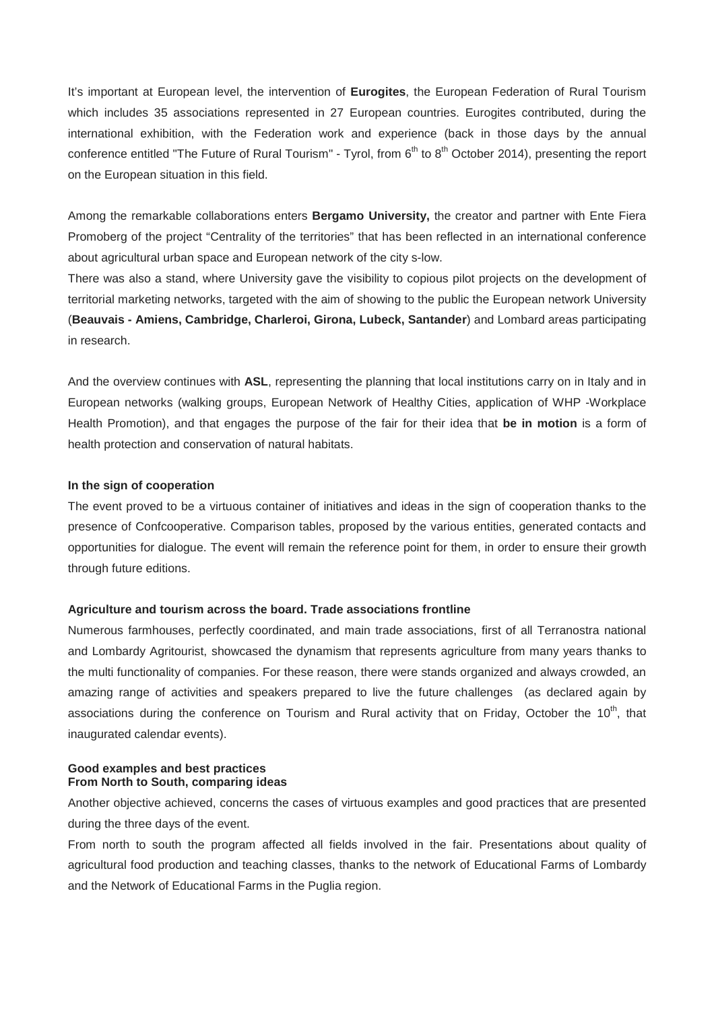It's important at European level, the intervention of **Eurogites**, the European Federation of Rural Tourism which includes 35 associations represented in 27 European countries. Eurogites contributed, during the international exhibition, with the Federation work and experience (back in those days by the annual conference entitled "The Future of Rural Tourism" - Tyrol, from  $6<sup>th</sup>$  to  $8<sup>th</sup>$  October 2014), presenting the report on the European situation in this field.

Among the remarkable collaborations enters **Bergamo University,** the creator and partner with Ente Fiera Promoberg of the project "Centrality of the territories" that has been reflected in an international conference about agricultural urban space and European network of the city s-low.

There was also a stand, where University gave the visibility to copious pilot projects on the development of territorial marketing networks, targeted with the aim of showing to the public the European network University (**Beauvais - Amiens, Cambridge, Charleroi, Girona, Lubeck, Santander**) and Lombard areas participating in research.

And the overview continues with **ASL**, representing the planning that local institutions carry on in Italy and in European networks (walking groups, European Network of Healthy Cities, application of WHP -Workplace Health Promotion), and that engages the purpose of the fair for their idea that **be in motion** is a form of health protection and conservation of natural habitats.

## **In the sign of cooperation**

The event proved to be a virtuous container of initiatives and ideas in the sign of cooperation thanks to the presence of Confcooperative. Comparison tables, proposed by the various entities, generated contacts and opportunities for dialogue. The event will remain the reference point for them, in order to ensure their growth through future editions.

#### **Agriculture and tourism across the board. Trade associations frontline**

Numerous farmhouses, perfectly coordinated, and main trade associations, first of all Terranostra national and Lombardy Agritourist, showcased the dynamism that represents agriculture from many years thanks to the multi functionality of companies. For these reason, there were stands organized and always crowded, an amazing range of activities and speakers prepared to live the future challenges (as declared again by associations during the conference on Tourism and Rural activity that on Friday, October the 10<sup>th</sup>, that inaugurated calendar events).

# **Good examples and best practices From North to South, comparing ideas**

Another objective achieved, concerns the cases of virtuous examples and good practices that are presented during the three days of the event.

From north to south the program affected all fields involved in the fair. Presentations about quality of agricultural food production and teaching classes, thanks to the network of Educational Farms of Lombardy and the Network of Educational Farms in the Puglia region.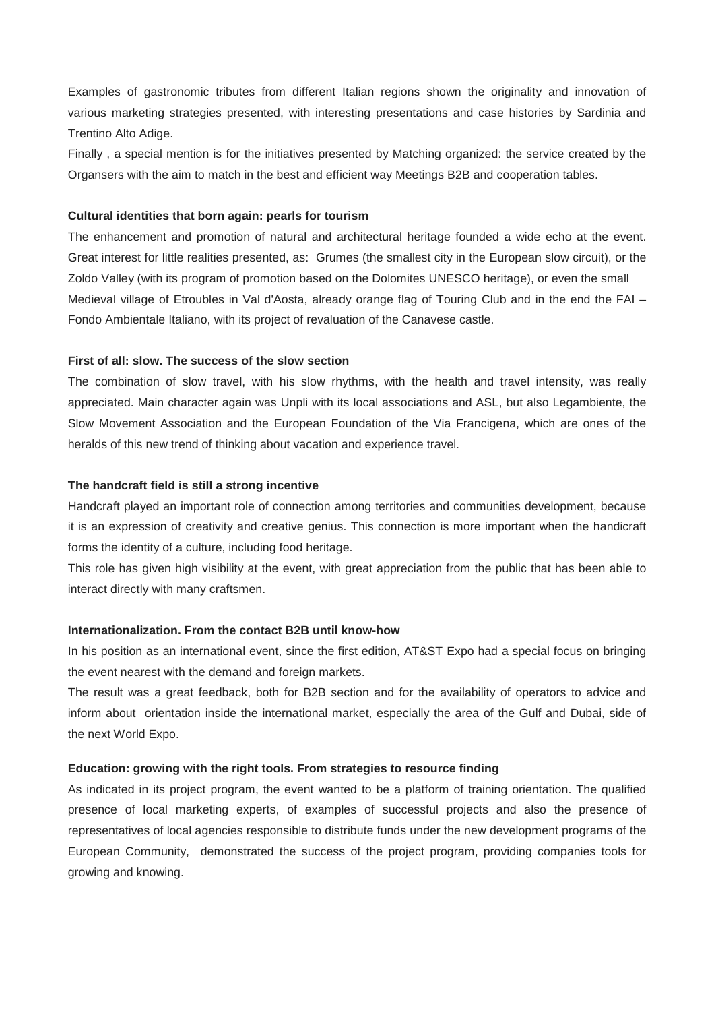Examples of gastronomic tributes from different Italian regions shown the originality and innovation of various marketing strategies presented, with interesting presentations and case histories by Sardinia and Trentino Alto Adige.

Finally , a special mention is for the initiatives presented by Matching organized: the service created by the Organsers with the aim to match in the best and efficient way Meetings B2B and cooperation tables.

# **Cultural identities that born again: pearls for tourism**

The enhancement and promotion of natural and architectural heritage founded a wide echo at the event. Great interest for little realities presented, as: Grumes (the smallest city in the European slow circuit), or the Zoldo Valley (with its program of promotion based on the Dolomites UNESCO heritage), or even the small Medieval village of Etroubles in Val d'Aosta, already orange flag of Touring Club and in the end the FAI – Fondo Ambientale Italiano, with its project of revaluation of the Canavese castle.

# **First of all: slow. The success of the slow section**

The combination of slow travel, with his slow rhythms, with the health and travel intensity, was really appreciated. Main character again was Unpli with its local associations and ASL, but also Legambiente, the Slow Movement Association and the European Foundation of the Via Francigena, which are ones of the heralds of this new trend of thinking about vacation and experience travel.

# **The handcraft field is still a strong incentive**

Handcraft played an important role of connection among territories and communities development, because it is an expression of creativity and creative genius. This connection is more important when the handicraft forms the identity of a culture, including food heritage.

This role has given high visibility at the event, with great appreciation from the public that has been able to interact directly with many craftsmen.

#### **Internationalization. From the contact B2B until know-how**

In his position as an international event, since the first edition, AT&ST Expo had a special focus on bringing the event nearest with the demand and foreign markets.

The result was a great feedback, both for B2B section and for the availability of operators to advice and inform about orientation inside the international market, especially the area of the Gulf and Dubai, side of the next World Expo.

#### **Education: growing with the right tools. From strategies to resource finding**

As indicated in its project program, the event wanted to be a platform of training orientation. The qualified presence of local marketing experts, of examples of successful projects and also the presence of representatives of local agencies responsible to distribute funds under the new development programs of the European Community, demonstrated the success of the project program, providing companies tools for growing and knowing.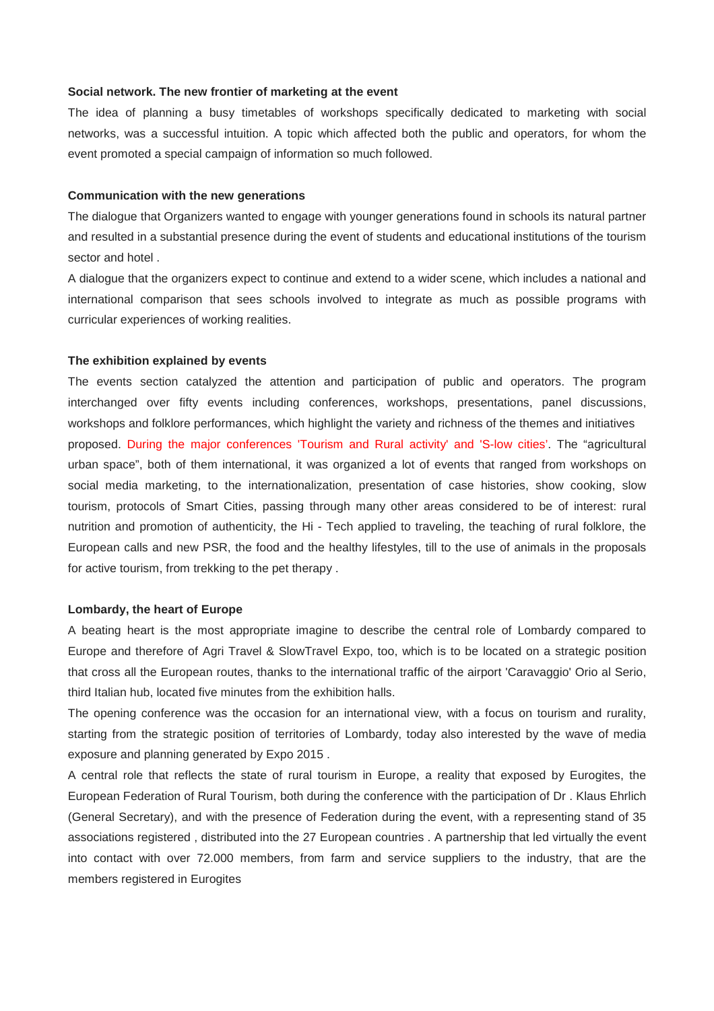#### **Social network. The new frontier of marketing at the event**

The idea of planning a busy timetables of workshops specifically dedicated to marketing with social networks, was a successful intuition. A topic which affected both the public and operators, for whom the event promoted a special campaign of information so much followed.

# **Communication with the new generations**

The dialogue that Organizers wanted to engage with younger generations found in schools its natural partner and resulted in a substantial presence during the event of students and educational institutions of the tourism sector and hotel .

A dialogue that the organizers expect to continue and extend to a wider scene, which includes a national and international comparison that sees schools involved to integrate as much as possible programs with curricular experiences of working realities.

## **The exhibition explained by events**

The events section catalyzed the attention and participation of public and operators. The program interchanged over fifty events including conferences, workshops, presentations, panel discussions, workshops and folklore performances, which highlight the variety and richness of the themes and initiatives proposed. During the major conferences 'Tourism and Rural activity' and 'S-low cities'. The "agricultural urban space", both of them international, it was organized a lot of events that ranged from workshops on social media marketing, to the internationalization, presentation of case histories, show cooking, slow tourism, protocols of Smart Cities, passing through many other areas considered to be of interest: rural nutrition and promotion of authenticity, the Hi - Tech applied to traveling, the teaching of rural folklore, the European calls and new PSR, the food and the healthy lifestyles, till to the use of animals in the proposals for active tourism, from trekking to the pet therapy .

#### **Lombardy, the heart of Europe**

A beating heart is the most appropriate imagine to describe the central role of Lombardy compared to Europe and therefore of Agri Travel & SlowTravel Expo, too, which is to be located on a strategic position that cross all the European routes, thanks to the international traffic of the airport 'Caravaggio' Orio al Serio, third Italian hub, located five minutes from the exhibition halls.

The opening conference was the occasion for an international view, with a focus on tourism and rurality, starting from the strategic position of territories of Lombardy, today also interested by the wave of media exposure and planning generated by Expo 2015 .

A central role that reflects the state of rural tourism in Europe, a reality that exposed by Eurogites, the European Federation of Rural Tourism, both during the conference with the participation of Dr . Klaus Ehrlich (General Secretary), and with the presence of Federation during the event, with a representing stand of 35 associations registered , distributed into the 27 European countries . A partnership that led virtually the event into contact with over 72.000 members, from farm and service suppliers to the industry, that are the members registered in Eurogites